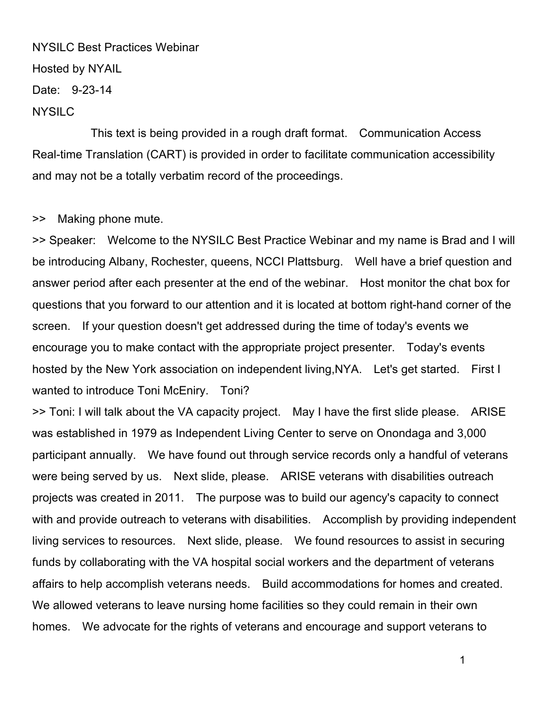## NYSILC Best Practices Webinar Hosted by NYAIL Date: 9-23-14

## NYSILC

 This text is being provided in a rough draft format. Communication Access Real-time Translation (CART) is provided in order to facilitate communication accessibility and may not be a totally verbatim record of the proceedings.

## >> Making phone mute.

>> Speaker: Welcome to the NYSILC Best Practice Webinar and my name is Brad and I will be introducing Albany, Rochester, queens, NCCI Plattsburg. Well have a brief question and answer period after each presenter at the end of the webinar. Host monitor the chat box for questions that you forward to our attention and it is located at bottom right-hand corner of the screen. If your question doesn't get addressed during the time of today's events we encourage you to make contact with the appropriate project presenter. Today's events hosted by the New York association on independent living,NYA. Let's get started. First I wanted to introduce Toni McEniry. Toni?

>> Toni: I will talk about the VA capacity project. May I have the first slide please. ARISE was established in 1979 as Independent Living Center to serve on Onondaga and 3,000 participant annually. We have found out through service records only a handful of veterans were being served by us. Next slide, please. ARISE veterans with disabilities outreach projects was created in 2011. The purpose was to build our agency's capacity to connect with and provide outreach to veterans with disabilities. Accomplish by providing independent living services to resources. Next slide, please. We found resources to assist in securing funds by collaborating with the VA hospital social workers and the department of veterans affairs to help accomplish veterans needs. Build accommodations for homes and created. We allowed veterans to leave nursing home facilities so they could remain in their own homes. We advocate for the rights of veterans and encourage and support veterans to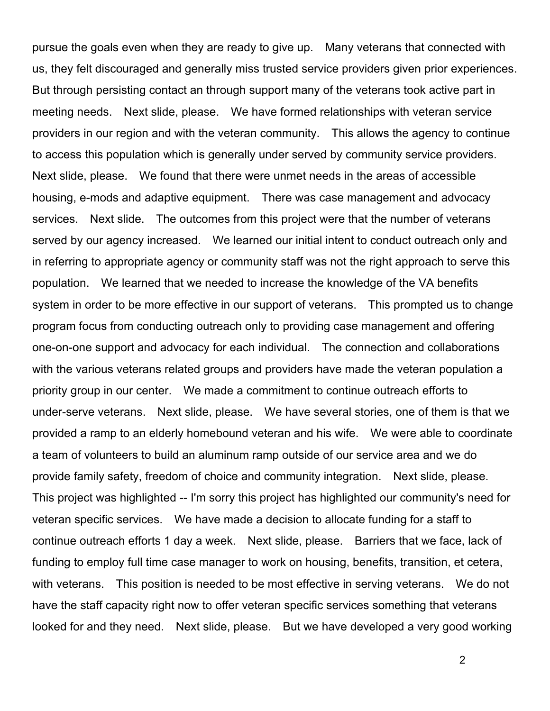pursue the goals even when they are ready to give up. Many veterans that connected with us, they felt discouraged and generally miss trusted service providers given prior experiences. But through persisting contact an through support many of the veterans took active part in meeting needs. Next slide, please. We have formed relationships with veteran service providers in our region and with the veteran community. This allows the agency to continue to access this population which is generally under served by community service providers. Next slide, please. We found that there were unmet needs in the areas of accessible housing, e-mods and adaptive equipment. There was case management and advocacy services. Next slide. The outcomes from this project were that the number of veterans served by our agency increased. We learned our initial intent to conduct outreach only and in referring to appropriate agency or community staff was not the right approach to serve this population. We learned that we needed to increase the knowledge of the VA benefits system in order to be more effective in our support of veterans. This prompted us to change program focus from conducting outreach only to providing case management and offering one-on-one support and advocacy for each individual. The connection and collaborations with the various veterans related groups and providers have made the veteran population a priority group in our center. We made a commitment to continue outreach efforts to under-serve veterans. Next slide, please. We have several stories, one of them is that we provided a ramp to an elderly homebound veteran and his wife. We were able to coordinate a team of volunteers to build an aluminum ramp outside of our service area and we do provide family safety, freedom of choice and community integration. Next slide, please. This project was highlighted -- I'm sorry this project has highlighted our community's need for veteran specific services. We have made a decision to allocate funding for a staff to continue outreach efforts 1 day a week. Next slide, please. Barriers that we face, lack of funding to employ full time case manager to work on housing, benefits, transition, et cetera, with veterans. This position is needed to be most effective in serving veterans. We do not have the staff capacity right now to offer veteran specific services something that veterans looked for and they need. Next slide, please. But we have developed a very good working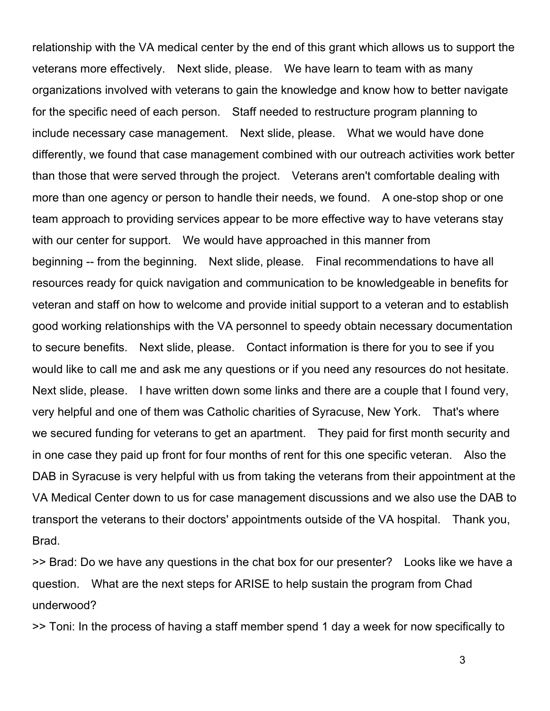relationship with the VA medical center by the end of this grant which allows us to support the veterans more effectively. Next slide, please. We have learn to team with as many organizations involved with veterans to gain the knowledge and know how to better navigate for the specific need of each person. Staff needed to restructure program planning to include necessary case management. Next slide, please. What we would have done differently, we found that case management combined with our outreach activities work better than those that were served through the project. Veterans aren't comfortable dealing with more than one agency or person to handle their needs, we found. A one-stop shop or one team approach to providing services appear to be more effective way to have veterans stay with our center for support. We would have approached in this manner from beginning -- from the beginning. Next slide, please. Final recommendations to have all resources ready for quick navigation and communication to be knowledgeable in benefits for veteran and staff on how to welcome and provide initial support to a veteran and to establish good working relationships with the VA personnel to speedy obtain necessary documentation to secure benefits. Next slide, please. Contact information is there for you to see if you would like to call me and ask me any questions or if you need any resources do not hesitate. Next slide, please. I have written down some links and there are a couple that I found very, very helpful and one of them was Catholic charities of Syracuse, New York. That's where we secured funding for veterans to get an apartment. They paid for first month security and in one case they paid up front for four months of rent for this one specific veteran. Also the DAB in Syracuse is very helpful with us from taking the veterans from their appointment at the VA Medical Center down to us for case management discussions and we also use the DAB to transport the veterans to their doctors' appointments outside of the VA hospital. Thank you, Brad.

>> Brad: Do we have any questions in the chat box for our presenter? Looks like we have a question. What are the next steps for ARISE to help sustain the program from Chad underwood?

>> Toni: In the process of having a staff member spend 1 day a week for now specifically to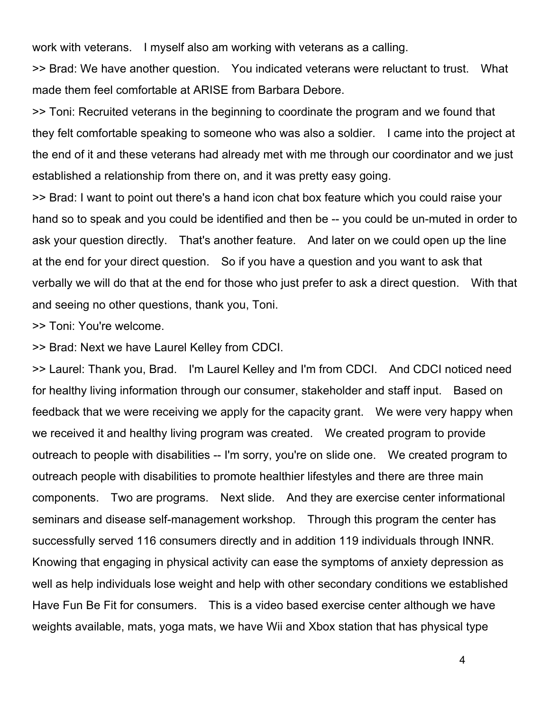work with veterans. I myself also am working with veterans as a calling.

>> Brad: We have another question. You indicated veterans were reluctant to trust. What made them feel comfortable at ARISE from Barbara Debore.

>> Toni: Recruited veterans in the beginning to coordinate the program and we found that they felt comfortable speaking to someone who was also a soldier. I came into the project at the end of it and these veterans had already met with me through our coordinator and we just established a relationship from there on, and it was pretty easy going.

>> Brad: I want to point out there's a hand icon chat box feature which you could raise your hand so to speak and you could be identified and then be -- you could be un-muted in order to ask your question directly. That's another feature. And later on we could open up the line at the end for your direct question. So if you have a question and you want to ask that verbally we will do that at the end for those who just prefer to ask a direct question. With that and seeing no other questions, thank you, Toni.

>> Toni: You're welcome.

>> Brad: Next we have Laurel Kelley from CDCI.

>> Laurel: Thank you, Brad. I'm Laurel Kelley and I'm from CDCI. And CDCI noticed need for healthy living information through our consumer, stakeholder and staff input. Based on feedback that we were receiving we apply for the capacity grant. We were very happy when we received it and healthy living program was created. We created program to provide outreach to people with disabilities -- I'm sorry, you're on slide one. We created program to outreach people with disabilities to promote healthier lifestyles and there are three main components. Two are programs. Next slide. And they are exercise center informational seminars and disease self-management workshop. Through this program the center has successfully served 116 consumers directly and in addition 119 individuals through INNR. Knowing that engaging in physical activity can ease the symptoms of anxiety depression as well as help individuals lose weight and help with other secondary conditions we established Have Fun Be Fit for consumers. This is a video based exercise center although we have weights available, mats, yoga mats, we have Wii and Xbox station that has physical type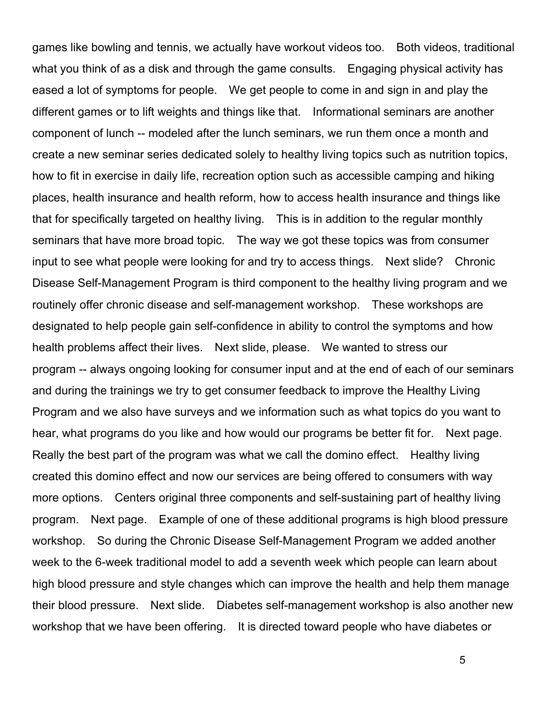games like bowling and tennis, we actually have workout videos too. Both videos, traditional what you think of as a disk and through the game consults. Engaging physical activity has eased a lot of symptoms for people. We get people to come in and sign in and play the different games or to lift weights and things like that. Informational seminars are another component of lunch -- modeled after the lunch seminars, we run them once a month and create a new seminar series dedicated solely to healthy living topics such as nutrition topics, how to fit in exercise in daily life, recreation option such as accessible camping and hiking places, health insurance and health reform, how to access health insurance and things like that for specifically targeted on healthy living. This is in addition to the regular monthly seminars that have more broad topic. The way we got these topics was from consumer input to see what people were looking for and try to access things. Next slide? Chronic Disease Self-Management Program is third component to the healthy living program and we routinely offer chronic disease and self-management workshop. These workshops are designated to help people gain self-confidence in ability to control the symptoms and how health problems affect their lives. Next slide, please. We wanted to stress our program -- always ongoing looking for consumer input and at the end of each of our seminars and during the trainings we try to get consumer feedback to improve the Healthy Living Program and we also have surveys and we information such as what topics do you want to hear, what programs do you like and how would our programs be better fit for. Next page. Really the best part of the program was what we call the domino effect. Healthy living created this domino effect and now our services are being offered to consumers with way more options. Centers original three components and self-sustaining part of healthy living program. Next page. Example of one of these additional programs is high blood pressure workshop. So during the Chronic Disease Self-Management Program we added another week to the 6-week traditional model to add a seventh week which people can learn about high blood pressure and style changes which can improve the health and help them manage their blood pressure. Next slide. Diabetes self-management workshop is also another new workshop that we have been offering. It is directed toward people who have diabetes or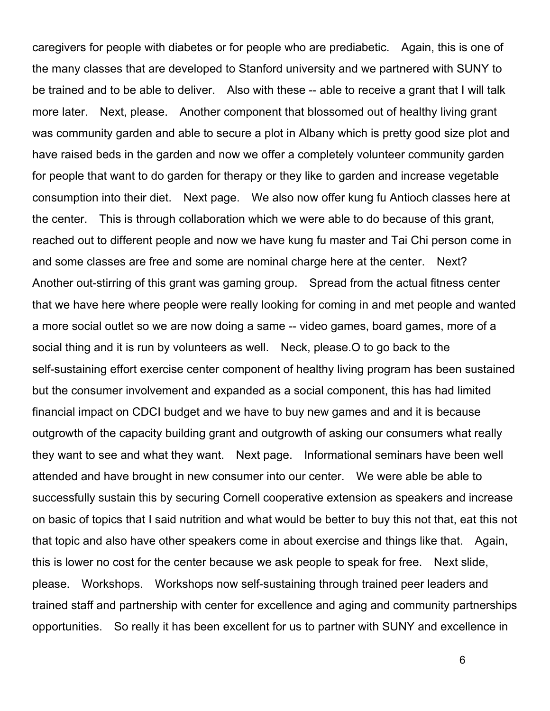caregivers for people with diabetes or for people who are prediabetic. Again, this is one of the many classes that are developed to Stanford university and we partnered with SUNY to be trained and to be able to deliver. Also with these -- able to receive a grant that I will talk more later. Next, please. Another component that blossomed out of healthy living grant was community garden and able to secure a plot in Albany which is pretty good size plot and have raised beds in the garden and now we offer a completely volunteer community garden for people that want to do garden for therapy or they like to garden and increase vegetable consumption into their diet. Next page. We also now offer kung fu Antioch classes here at the center. This is through collaboration which we were able to do because of this grant, reached out to different people and now we have kung fu master and Tai Chi person come in and some classes are free and some are nominal charge here at the center. Next? Another out-stirring of this grant was gaming group. Spread from the actual fitness center that we have here where people were really looking for coming in and met people and wanted a more social outlet so we are now doing a same -- video games, board games, more of a social thing and it is run by volunteers as well. Neck, please.O to go back to the self-sustaining effort exercise center component of healthy living program has been sustained but the consumer involvement and expanded as a social component, this has had limited financial impact on CDCI budget and we have to buy new games and and it is because outgrowth of the capacity building grant and outgrowth of asking our consumers what really they want to see and what they want. Next page. Informational seminars have been well attended and have brought in new consumer into our center. We were able be able to successfully sustain this by securing Cornell cooperative extension as speakers and increase on basic of topics that I said nutrition and what would be better to buy this not that, eat this not that topic and also have other speakers come in about exercise and things like that. Again, this is lower no cost for the center because we ask people to speak for free. Next slide, please. Workshops. Workshops now self-sustaining through trained peer leaders and trained staff and partnership with center for excellence and aging and community partnerships opportunities. So really it has been excellent for us to partner with SUNY and excellence in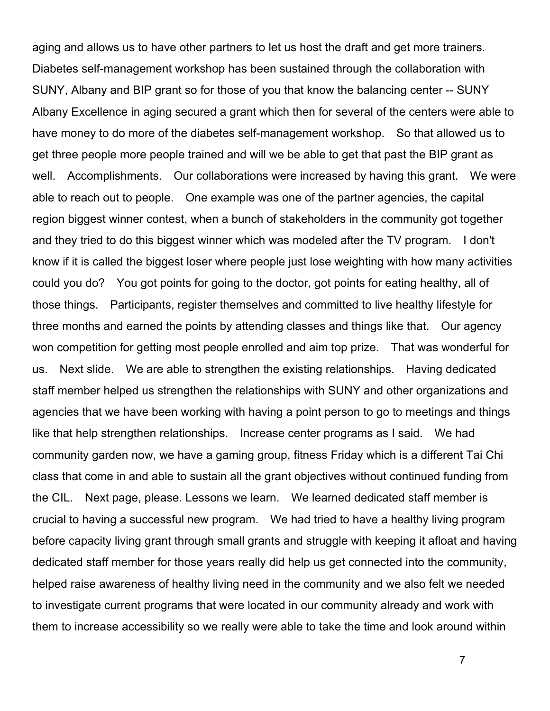aging and allows us to have other partners to let us host the draft and get more trainers. Diabetes self-management workshop has been sustained through the collaboration with SUNY, Albany and BIP grant so for those of you that know the balancing center -- SUNY Albany Excellence in aging secured a grant which then for several of the centers were able to have money to do more of the diabetes self-management workshop. So that allowed us to get three people more people trained and will we be able to get that past the BIP grant as well. Accomplishments. Our collaborations were increased by having this grant. We were able to reach out to people. One example was one of the partner agencies, the capital region biggest winner contest, when a bunch of stakeholders in the community got together and they tried to do this biggest winner which was modeled after the TV program. I don't know if it is called the biggest loser where people just lose weighting with how many activities could you do? You got points for going to the doctor, got points for eating healthy, all of those things. Participants, register themselves and committed to live healthy lifestyle for three months and earned the points by attending classes and things like that. Our agency won competition for getting most people enrolled and aim top prize. That was wonderful for us. Next slide. We are able to strengthen the existing relationships. Having dedicated staff member helped us strengthen the relationships with SUNY and other organizations and agencies that we have been working with having a point person to go to meetings and things like that help strengthen relationships. Increase center programs as I said. We had community garden now, we have a gaming group, fitness Friday which is a different Tai Chi class that come in and able to sustain all the grant objectives without continued funding from the CIL. Next page, please. Lessons we learn. We learned dedicated staff member is crucial to having a successful new program. We had tried to have a healthy living program before capacity living grant through small grants and struggle with keeping it afloat and having dedicated staff member for those years really did help us get connected into the community, helped raise awareness of healthy living need in the community and we also felt we needed to investigate current programs that were located in our community already and work with them to increase accessibility so we really were able to take the time and look around within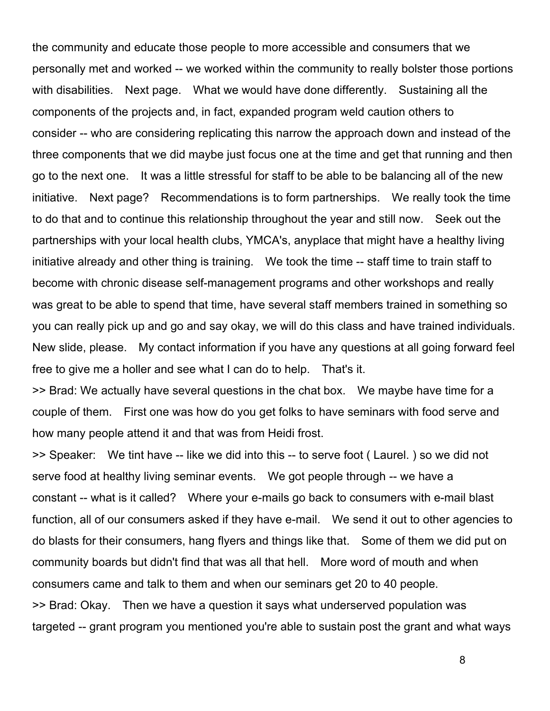the community and educate those people to more accessible and consumers that we personally met and worked -- we worked within the community to really bolster those portions with disabilities. Next page. What we would have done differently. Sustaining all the components of the projects and, in fact, expanded program weld caution others to consider -- who are considering replicating this narrow the approach down and instead of the three components that we did maybe just focus one at the time and get that running and then go to the next one. It was a little stressful for staff to be able to be balancing all of the new initiative. Next page? Recommendations is to form partnerships. We really took the time to do that and to continue this relationship throughout the year and still now. Seek out the partnerships with your local health clubs, YMCA's, anyplace that might have a healthy living initiative already and other thing is training. We took the time -- staff time to train staff to become with chronic disease self-management programs and other workshops and really was great to be able to spend that time, have several staff members trained in something so you can really pick up and go and say okay, we will do this class and have trained individuals. New slide, please. My contact information if you have any questions at all going forward feel free to give me a holler and see what I can do to help. That's it.

>> Brad: We actually have several questions in the chat box. We maybe have time for a couple of them. First one was how do you get folks to have seminars with food serve and how many people attend it and that was from Heidi frost.

>> Speaker: We tint have -- like we did into this -- to serve foot ( Laurel. ) so we did not serve food at healthy living seminar events. We got people through -- we have a constant -- what is it called? Where your e-mails go back to consumers with e-mail blast function, all of our consumers asked if they have e-mail. We send it out to other agencies to do blasts for their consumers, hang flyers and things like that. Some of them we did put on community boards but didn't find that was all that hell. More word of mouth and when consumers came and talk to them and when our seminars get 20 to 40 people. >> Brad: Okay. Then we have a question it says what underserved population was targeted -- grant program you mentioned you're able to sustain post the grant and what ways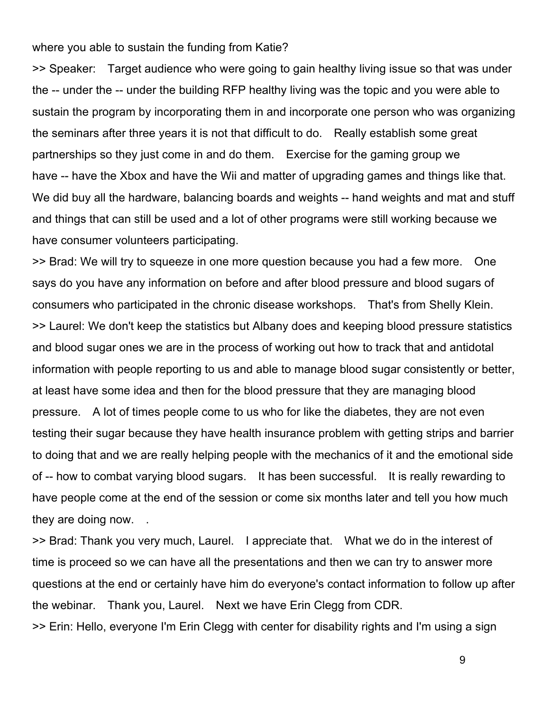where you able to sustain the funding from Katie?

>> Speaker: Target audience who were going to gain healthy living issue so that was under the -- under the -- under the building RFP healthy living was the topic and you were able to sustain the program by incorporating them in and incorporate one person who was organizing the seminars after three years it is not that difficult to do. Really establish some great partnerships so they just come in and do them. Exercise for the gaming group we have -- have the Xbox and have the Wii and matter of upgrading games and things like that. We did buy all the hardware, balancing boards and weights -- hand weights and mat and stuff and things that can still be used and a lot of other programs were still working because we have consumer volunteers participating.

>> Brad: We will try to squeeze in one more question because you had a few more. One says do you have any information on before and after blood pressure and blood sugars of consumers who participated in the chronic disease workshops. That's from Shelly Klein. >> Laurel: We don't keep the statistics but Albany does and keeping blood pressure statistics and blood sugar ones we are in the process of working out how to track that and antidotal information with people reporting to us and able to manage blood sugar consistently or better, at least have some idea and then for the blood pressure that they are managing blood pressure. A lot of times people come to us who for like the diabetes, they are not even testing their sugar because they have health insurance problem with getting strips and barrier to doing that and we are really helping people with the mechanics of it and the emotional side of -- how to combat varying blood sugars. It has been successful. It is really rewarding to have people come at the end of the session or come six months later and tell you how much they are doing now. .

>> Brad: Thank you very much, Laurel. I appreciate that. What we do in the interest of time is proceed so we can have all the presentations and then we can try to answer more questions at the end or certainly have him do everyone's contact information to follow up after the webinar. Thank you, Laurel. Next we have Erin Clegg from CDR.

>> Erin: Hello, everyone I'm Erin Clegg with center for disability rights and I'm using a sign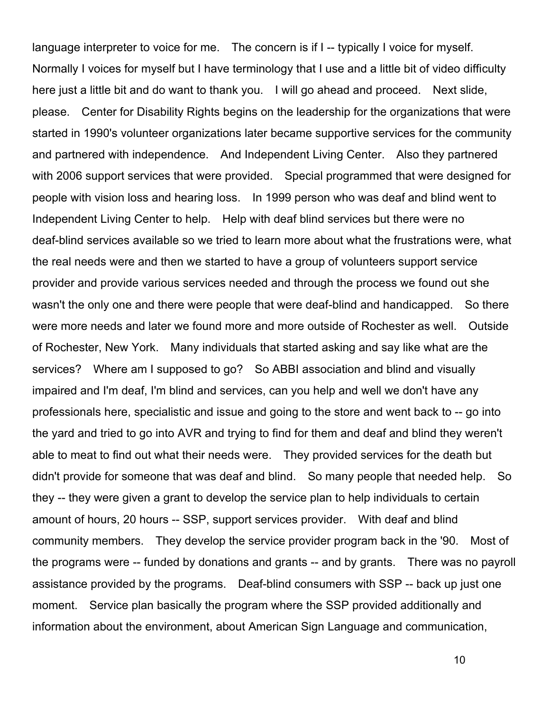language interpreter to voice for me. The concern is if I -- typically I voice for myself. Normally I voices for myself but I have terminology that I use and a little bit of video difficulty here just a little bit and do want to thank you. I will go ahead and proceed. Next slide, please. Center for Disability Rights begins on the leadership for the organizations that were started in 1990's volunteer organizations later became supportive services for the community and partnered with independence. And Independent Living Center. Also they partnered with 2006 support services that were provided. Special programmed that were designed for people with vision loss and hearing loss. In 1999 person who was deaf and blind went to Independent Living Center to help. Help with deaf blind services but there were no deaf-blind services available so we tried to learn more about what the frustrations were, what the real needs were and then we started to have a group of volunteers support service provider and provide various services needed and through the process we found out she wasn't the only one and there were people that were deaf-blind and handicapped. So there were more needs and later we found more and more outside of Rochester as well. Outside of Rochester, New York. Many individuals that started asking and say like what are the services? Where am I supposed to go? So ABBI association and blind and visually impaired and I'm deaf, I'm blind and services, can you help and well we don't have any professionals here, specialistic and issue and going to the store and went back to -- go into the yard and tried to go into AVR and trying to find for them and deaf and blind they weren't able to meat to find out what their needs were. They provided services for the death but didn't provide for someone that was deaf and blind. So many people that needed help. So they -- they were given a grant to develop the service plan to help individuals to certain amount of hours, 20 hours -- SSP, support services provider. With deaf and blind community members. They develop the service provider program back in the '90. Most of the programs were -- funded by donations and grants -- and by grants. There was no payroll assistance provided by the programs. Deaf-blind consumers with SSP -- back up just one moment. Service plan basically the program where the SSP provided additionally and information about the environment, about American Sign Language and communication,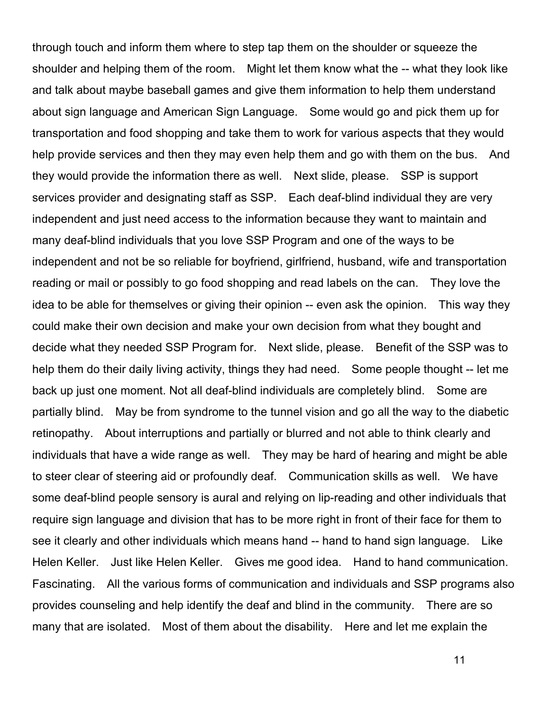through touch and inform them where to step tap them on the shoulder or squeeze the shoulder and helping them of the room. Might let them know what the -- what they look like and talk about maybe baseball games and give them information to help them understand about sign language and American Sign Language. Some would go and pick them up for transportation and food shopping and take them to work for various aspects that they would help provide services and then they may even help them and go with them on the bus. And they would provide the information there as well. Next slide, please. SSP is support services provider and designating staff as SSP. Each deaf-blind individual they are very independent and just need access to the information because they want to maintain and many deaf-blind individuals that you love SSP Program and one of the ways to be independent and not be so reliable for boyfriend, girlfriend, husband, wife and transportation reading or mail or possibly to go food shopping and read labels on the can. They love the idea to be able for themselves or giving their opinion -- even ask the opinion. This way they could make their own decision and make your own decision from what they bought and decide what they needed SSP Program for. Next slide, please. Benefit of the SSP was to help them do their daily living activity, things they had need. Some people thought -- let me back up just one moment. Not all deaf-blind individuals are completely blind. Some are partially blind. May be from syndrome to the tunnel vision and go all the way to the diabetic retinopathy. About interruptions and partially or blurred and not able to think clearly and individuals that have a wide range as well. They may be hard of hearing and might be able to steer clear of steering aid or profoundly deaf. Communication skills as well. We have some deaf-blind people sensory is aural and relying on lip-reading and other individuals that require sign language and division that has to be more right in front of their face for them to see it clearly and other individuals which means hand -- hand to hand sign language. Like Helen Keller. Just like Helen Keller. Gives me good idea. Hand to hand communication. Fascinating. All the various forms of communication and individuals and SSP programs also provides counseling and help identify the deaf and blind in the community. There are so many that are isolated. Most of them about the disability. Here and let me explain the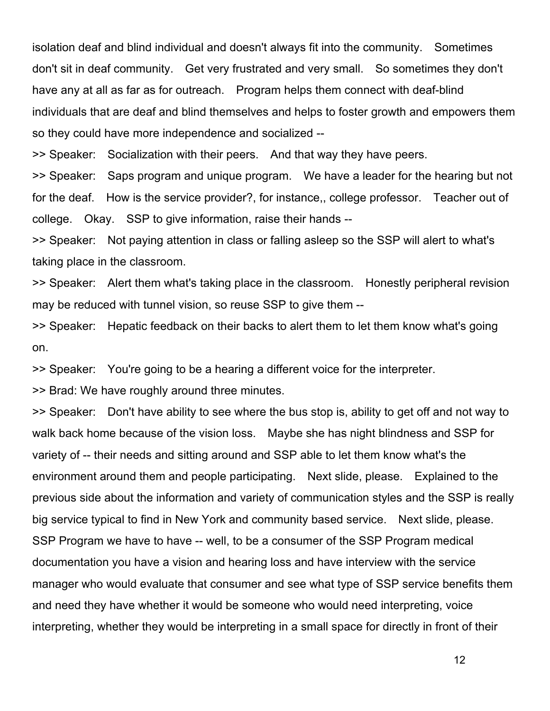isolation deaf and blind individual and doesn't always fit into the community. Sometimes don't sit in deaf community. Get very frustrated and very small. So sometimes they don't have any at all as far as for outreach. Program helps them connect with deaf-blind individuals that are deaf and blind themselves and helps to foster growth and empowers them so they could have more independence and socialized --

>> Speaker: Socialization with their peers. And that way they have peers.

>> Speaker: Saps program and unique program. We have a leader for the hearing but not for the deaf. How is the service provider?, for instance,, college professor. Teacher out of college. Okay. SSP to give information, raise their hands --

>> Speaker: Not paying attention in class or falling asleep so the SSP will alert to what's taking place in the classroom.

>> Speaker: Alert them what's taking place in the classroom. Honestly peripheral revision may be reduced with tunnel vision, so reuse SSP to give them --

>> Speaker: Hepatic feedback on their backs to alert them to let them know what's going on.

>> Speaker: You're going to be a hearing a different voice for the interpreter.

>> Brad: We have roughly around three minutes.

>> Speaker: Don't have ability to see where the bus stop is, ability to get off and not way to walk back home because of the vision loss. Maybe she has night blindness and SSP for variety of -- their needs and sitting around and SSP able to let them know what's the environment around them and people participating. Next slide, please. Explained to the previous side about the information and variety of communication styles and the SSP is really big service typical to find in New York and community based service. Next slide, please. SSP Program we have to have -- well, to be a consumer of the SSP Program medical documentation you have a vision and hearing loss and have interview with the service manager who would evaluate that consumer and see what type of SSP service benefits them and need they have whether it would be someone who would need interpreting, voice interpreting, whether they would be interpreting in a small space for directly in front of their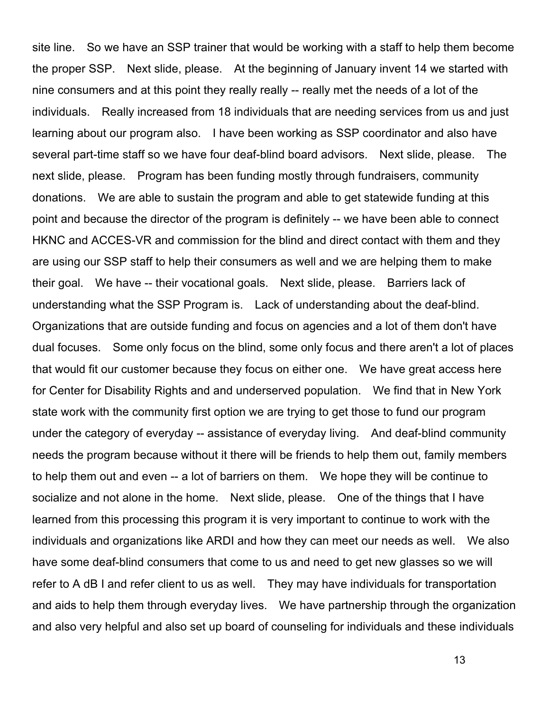site line. So we have an SSP trainer that would be working with a staff to help them become the proper SSP. Next slide, please. At the beginning of January invent 14 we started with nine consumers and at this point they really really -- really met the needs of a lot of the individuals. Really increased from 18 individuals that are needing services from us and just learning about our program also. I have been working as SSP coordinator and also have several part-time staff so we have four deaf-blind board advisors. Next slide, please. The next slide, please. Program has been funding mostly through fundraisers, community donations. We are able to sustain the program and able to get statewide funding at this point and because the director of the program is definitely -- we have been able to connect HKNC and ACCES-VR and commission for the blind and direct contact with them and they are using our SSP staff to help their consumers as well and we are helping them to make their goal. We have -- their vocational goals. Next slide, please. Barriers lack of understanding what the SSP Program is. Lack of understanding about the deaf-blind. Organizations that are outside funding and focus on agencies and a lot of them don't have dual focuses. Some only focus on the blind, some only focus and there aren't a lot of places that would fit our customer because they focus on either one. We have great access here for Center for Disability Rights and and underserved population. We find that in New York state work with the community first option we are trying to get those to fund our program under the category of everyday -- assistance of everyday living. And deaf-blind community needs the program because without it there will be friends to help them out, family members to help them out and even -- a lot of barriers on them. We hope they will be continue to socialize and not alone in the home. Next slide, please. One of the things that I have learned from this processing this program it is very important to continue to work with the individuals and organizations like ARDI and how they can meet our needs as well. We also have some deaf-blind consumers that come to us and need to get new glasses so we will refer to A dB I and refer client to us as well. They may have individuals for transportation and aids to help them through everyday lives. We have partnership through the organization and also very helpful and also set up board of counseling for individuals and these individuals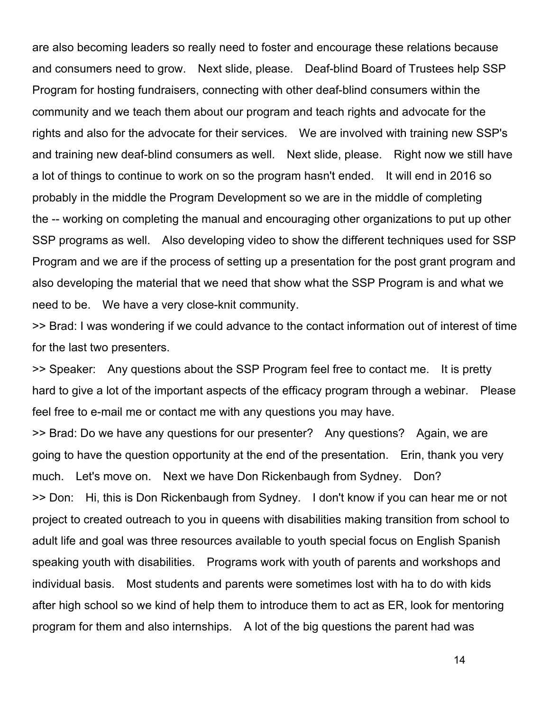are also becoming leaders so really need to foster and encourage these relations because and consumers need to grow. Next slide, please. Deaf-blind Board of Trustees help SSP Program for hosting fundraisers, connecting with other deaf-blind consumers within the community and we teach them about our program and teach rights and advocate for the rights and also for the advocate for their services. We are involved with training new SSP's and training new deaf-blind consumers as well. Next slide, please. Right now we still have a lot of things to continue to work on so the program hasn't ended. It will end in 2016 so probably in the middle the Program Development so we are in the middle of completing the -- working on completing the manual and encouraging other organizations to put up other SSP programs as well. Also developing video to show the different techniques used for SSP Program and we are if the process of setting up a presentation for the post grant program and also developing the material that we need that show what the SSP Program is and what we need to be. We have a very close-knit community.

>> Brad: I was wondering if we could advance to the contact information out of interest of time for the last two presenters.

>> Speaker: Any questions about the SSP Program feel free to contact me. It is pretty hard to give a lot of the important aspects of the efficacy program through a webinar. Please feel free to e-mail me or contact me with any questions you may have.

>> Brad: Do we have any questions for our presenter? Any questions? Again, we are going to have the question opportunity at the end of the presentation. Erin, thank you very much. Let's move on. Next we have Don Rickenbaugh from Sydney. Don? >> Don: Hi, this is Don Rickenbaugh from Sydney. I don't know if you can hear me or not project to created outreach to you in queens with disabilities making transition from school to adult life and goal was three resources available to youth special focus on English Spanish speaking youth with disabilities. Programs work with youth of parents and workshops and individual basis. Most students and parents were sometimes lost with ha to do with kids after high school so we kind of help them to introduce them to act as ER, look for mentoring program for them and also internships. A lot of the big questions the parent had was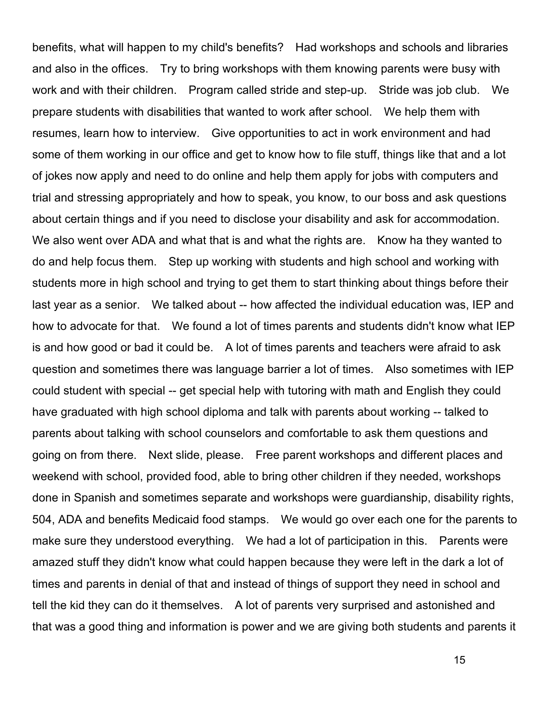benefits, what will happen to my child's benefits? Had workshops and schools and libraries and also in the offices. Try to bring workshops with them knowing parents were busy with work and with their children. Program called stride and step-up. Stride was job club. We prepare students with disabilities that wanted to work after school. We help them with resumes, learn how to interview. Give opportunities to act in work environment and had some of them working in our office and get to know how to file stuff, things like that and a lot of jokes now apply and need to do online and help them apply for jobs with computers and trial and stressing appropriately and how to speak, you know, to our boss and ask questions about certain things and if you need to disclose your disability and ask for accommodation. We also went over ADA and what that is and what the rights are. Know ha they wanted to do and help focus them. Step up working with students and high school and working with students more in high school and trying to get them to start thinking about things before their last year as a senior. We talked about -- how affected the individual education was, IEP and how to advocate for that. We found a lot of times parents and students didn't know what IEP is and how good or bad it could be. A lot of times parents and teachers were afraid to ask question and sometimes there was language barrier a lot of times. Also sometimes with IEP could student with special -- get special help with tutoring with math and English they could have graduated with high school diploma and talk with parents about working -- talked to parents about talking with school counselors and comfortable to ask them questions and going on from there. Next slide, please. Free parent workshops and different places and weekend with school, provided food, able to bring other children if they needed, workshops done in Spanish and sometimes separate and workshops were guardianship, disability rights, 504, ADA and benefits Medicaid food stamps. We would go over each one for the parents to make sure they understood everything. We had a lot of participation in this. Parents were amazed stuff they didn't know what could happen because they were left in the dark a lot of times and parents in denial of that and instead of things of support they need in school and tell the kid they can do it themselves. A lot of parents very surprised and astonished and that was a good thing and information is power and we are giving both students and parents it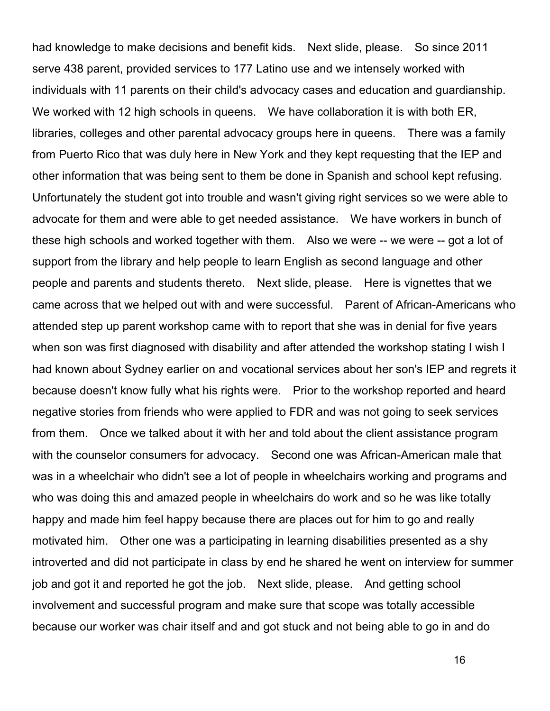had knowledge to make decisions and benefit kids. Next slide, please. So since 2011 serve 438 parent, provided services to 177 Latino use and we intensely worked with individuals with 11 parents on their child's advocacy cases and education and guardianship. We worked with 12 high schools in queens. We have collaboration it is with both ER, libraries, colleges and other parental advocacy groups here in queens. There was a family from Puerto Rico that was duly here in New York and they kept requesting that the IEP and other information that was being sent to them be done in Spanish and school kept refusing. Unfortunately the student got into trouble and wasn't giving right services so we were able to advocate for them and were able to get needed assistance. We have workers in bunch of these high schools and worked together with them. Also we were -- we were -- got a lot of support from the library and help people to learn English as second language and other people and parents and students thereto. Next slide, please. Here is vignettes that we came across that we helped out with and were successful. Parent of African-Americans who attended step up parent workshop came with to report that she was in denial for five years when son was first diagnosed with disability and after attended the workshop stating I wish I had known about Sydney earlier on and vocational services about her son's IEP and regrets it because doesn't know fully what his rights were. Prior to the workshop reported and heard negative stories from friends who were applied to FDR and was not going to seek services from them. Once we talked about it with her and told about the client assistance program with the counselor consumers for advocacy. Second one was African-American male that was in a wheelchair who didn't see a lot of people in wheelchairs working and programs and who was doing this and amazed people in wheelchairs do work and so he was like totally happy and made him feel happy because there are places out for him to go and really motivated him. Other one was a participating in learning disabilities presented as a shy introverted and did not participate in class by end he shared he went on interview for summer job and got it and reported he got the job. Next slide, please. And getting school involvement and successful program and make sure that scope was totally accessible because our worker was chair itself and and got stuck and not being able to go in and do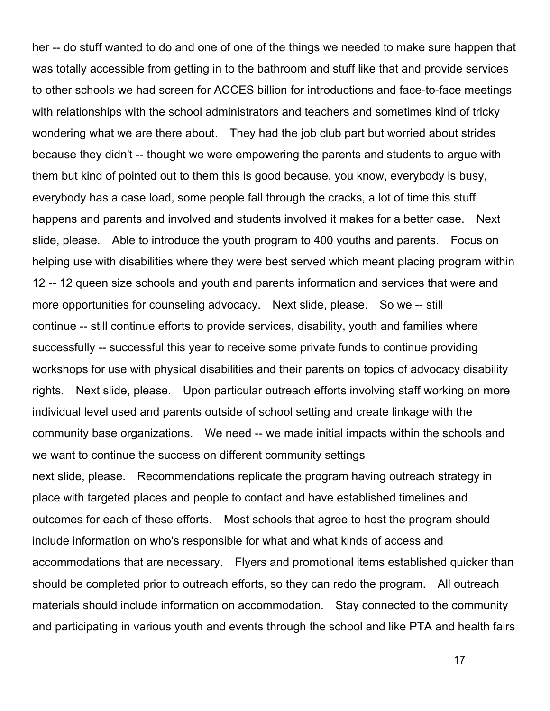her -- do stuff wanted to do and one of one of the things we needed to make sure happen that was totally accessible from getting in to the bathroom and stuff like that and provide services to other schools we had screen for ACCES billion for introductions and face-to-face meetings with relationships with the school administrators and teachers and sometimes kind of tricky wondering what we are there about. They had the job club part but worried about strides because they didn't -- thought we were empowering the parents and students to argue with them but kind of pointed out to them this is good because, you know, everybody is busy, everybody has a case load, some people fall through the cracks, a lot of time this stuff happens and parents and involved and students involved it makes for a better case. Next slide, please. Able to introduce the youth program to 400 youths and parents. Focus on helping use with disabilities where they were best served which meant placing program within 12 -- 12 queen size schools and youth and parents information and services that were and more opportunities for counseling advocacy. Next slide, please. So we -- still continue -- still continue efforts to provide services, disability, youth and families where successfully -- successful this year to receive some private funds to continue providing workshops for use with physical disabilities and their parents on topics of advocacy disability rights. Next slide, please. Upon particular outreach efforts involving staff working on more individual level used and parents outside of school setting and create linkage with the community base organizations. We need -- we made initial impacts within the schools and we want to continue the success on different community settings next slide, please. Recommendations replicate the program having outreach strategy in place with targeted places and people to contact and have established timelines and outcomes for each of these efforts. Most schools that agree to host the program should include information on who's responsible for what and what kinds of access and accommodations that are necessary. Flyers and promotional items established quicker than should be completed prior to outreach efforts, so they can redo the program. All outreach materials should include information on accommodation. Stay connected to the community and participating in various youth and events through the school and like PTA and health fairs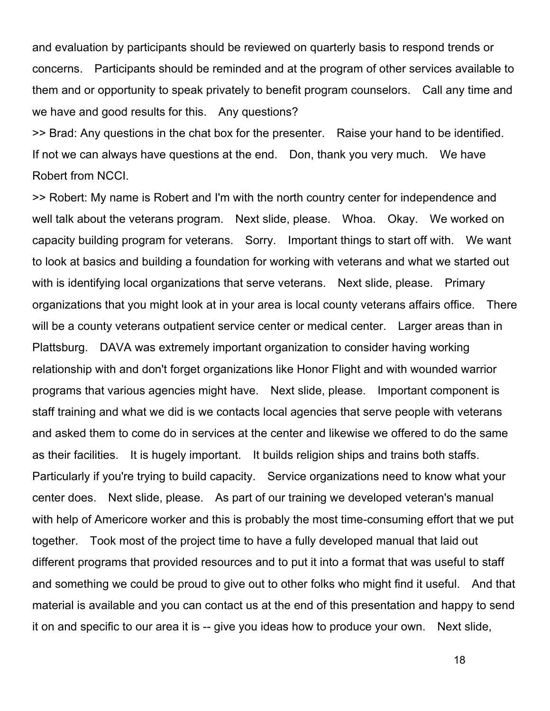and evaluation by participants should be reviewed on quarterly basis to respond trends or concerns. Participants should be reminded and at the program of other services available to them and or opportunity to speak privately to benefit program counselors. Call any time and we have and good results for this. Any questions?

>> Brad: Any questions in the chat box for the presenter. Raise your hand to be identified. If not we can always have questions at the end. Don, thank you very much. We have Robert from NCCI.

>> Robert: My name is Robert and I'm with the north country center for independence and well talk about the veterans program. Next slide, please. Whoa. Okay. We worked on capacity building program for veterans. Sorry. Important things to start off with. We want to look at basics and building a foundation for working with veterans and what we started out with is identifying local organizations that serve veterans. Next slide, please. Primary organizations that you might look at in your area is local county veterans affairs office. There will be a county veterans outpatient service center or medical center. Larger areas than in Plattsburg. DAVA was extremely important organization to consider having working relationship with and don't forget organizations like Honor Flight and with wounded warrior programs that various agencies might have. Next slide, please. Important component is staff training and what we did is we contacts local agencies that serve people with veterans and asked them to come do in services at the center and likewise we offered to do the same as their facilities. It is hugely important. It builds religion ships and trains both staffs. Particularly if you're trying to build capacity. Service organizations need to know what your center does. Next slide, please. As part of our training we developed veteran's manual with help of Americore worker and this is probably the most time-consuming effort that we put together. Took most of the project time to have a fully developed manual that laid out different programs that provided resources and to put it into a format that was useful to staff and something we could be proud to give out to other folks who might find it useful. And that material is available and you can contact us at the end of this presentation and happy to send it on and specific to our area it is -- give you ideas how to produce your own. Next slide,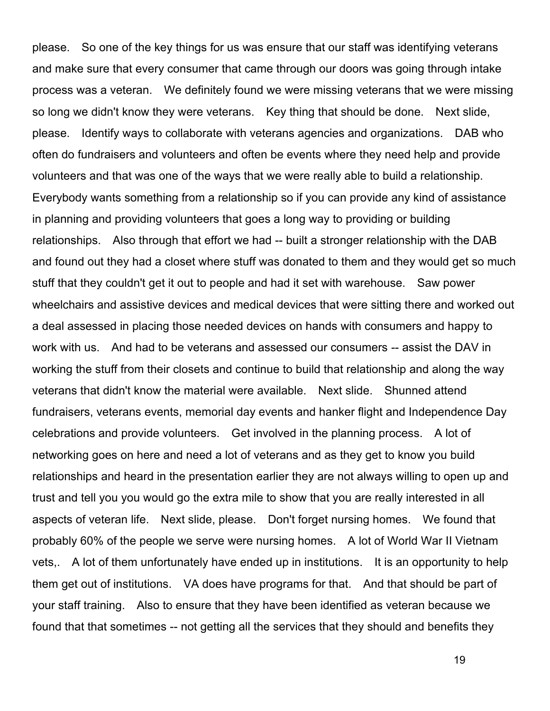please. So one of the key things for us was ensure that our staff was identifying veterans and make sure that every consumer that came through our doors was going through intake process was a veteran. We definitely found we were missing veterans that we were missing so long we didn't know they were veterans. Key thing that should be done. Next slide, please. Identify ways to collaborate with veterans agencies and organizations. DAB who often do fundraisers and volunteers and often be events where they need help and provide volunteers and that was one of the ways that we were really able to build a relationship. Everybody wants something from a relationship so if you can provide any kind of assistance in planning and providing volunteers that goes a long way to providing or building relationships. Also through that effort we had -- built a stronger relationship with the DAB and found out they had a closet where stuff was donated to them and they would get so much stuff that they couldn't get it out to people and had it set with warehouse. Saw power wheelchairs and assistive devices and medical devices that were sitting there and worked out a deal assessed in placing those needed devices on hands with consumers and happy to work with us. And had to be veterans and assessed our consumers -- assist the DAV in working the stuff from their closets and continue to build that relationship and along the way veterans that didn't know the material were available. Next slide. Shunned attend fundraisers, veterans events, memorial day events and hanker flight and Independence Day celebrations and provide volunteers. Get involved in the planning process. A lot of networking goes on here and need a lot of veterans and as they get to know you build relationships and heard in the presentation earlier they are not always willing to open up and trust and tell you you would go the extra mile to show that you are really interested in all aspects of veteran life. Next slide, please. Don't forget nursing homes. We found that probably 60% of the people we serve were nursing homes. A lot of World War II Vietnam vets,. A lot of them unfortunately have ended up in institutions. It is an opportunity to help them get out of institutions. VA does have programs for that. And that should be part of your staff training. Also to ensure that they have been identified as veteran because we found that that sometimes -- not getting all the services that they should and benefits they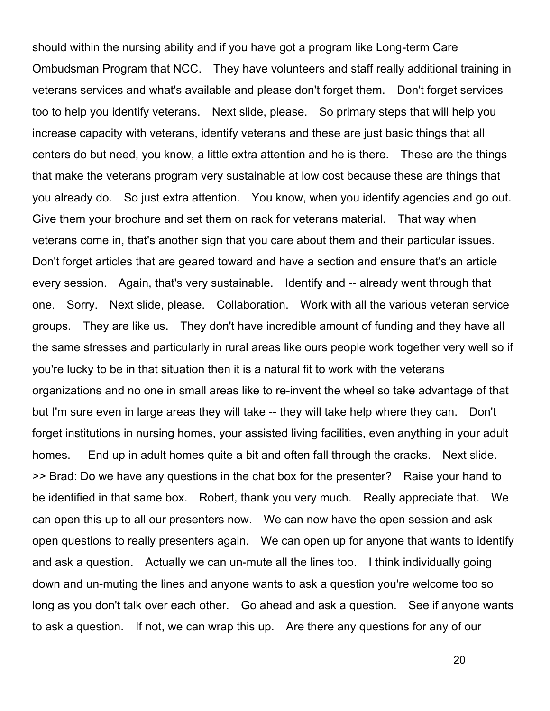should within the nursing ability and if you have got a program like Long-term Care Ombudsman Program that NCC. They have volunteers and staff really additional training in veterans services and what's available and please don't forget them. Don't forget services too to help you identify veterans. Next slide, please. So primary steps that will help you increase capacity with veterans, identify veterans and these are just basic things that all centers do but need, you know, a little extra attention and he is there. These are the things that make the veterans program very sustainable at low cost because these are things that you already do. So just extra attention. You know, when you identify agencies and go out. Give them your brochure and set them on rack for veterans material. That way when veterans come in, that's another sign that you care about them and their particular issues. Don't forget articles that are geared toward and have a section and ensure that's an article every session. Again, that's very sustainable. Identify and -- already went through that one. Sorry. Next slide, please. Collaboration. Work with all the various veteran service groups. They are like us. They don't have incredible amount of funding and they have all the same stresses and particularly in rural areas like ours people work together very well so if you're lucky to be in that situation then it is a natural fit to work with the veterans organizations and no one in small areas like to re-invent the wheel so take advantage of that but I'm sure even in large areas they will take -- they will take help where they can. Don't forget institutions in nursing homes, your assisted living facilities, even anything in your adult homes. End up in adult homes quite a bit and often fall through the cracks. Next slide. >> Brad: Do we have any questions in the chat box for the presenter? Raise your hand to be identified in that same box. Robert, thank you very much. Really appreciate that. We can open this up to all our presenters now. We can now have the open session and ask open questions to really presenters again. We can open up for anyone that wants to identify and ask a question. Actually we can un-mute all the lines too. I think individually going down and un-muting the lines and anyone wants to ask a question you're welcome too so long as you don't talk over each other. Go ahead and ask a question. See if anyone wants to ask a question. If not, we can wrap this up. Are there any questions for any of our